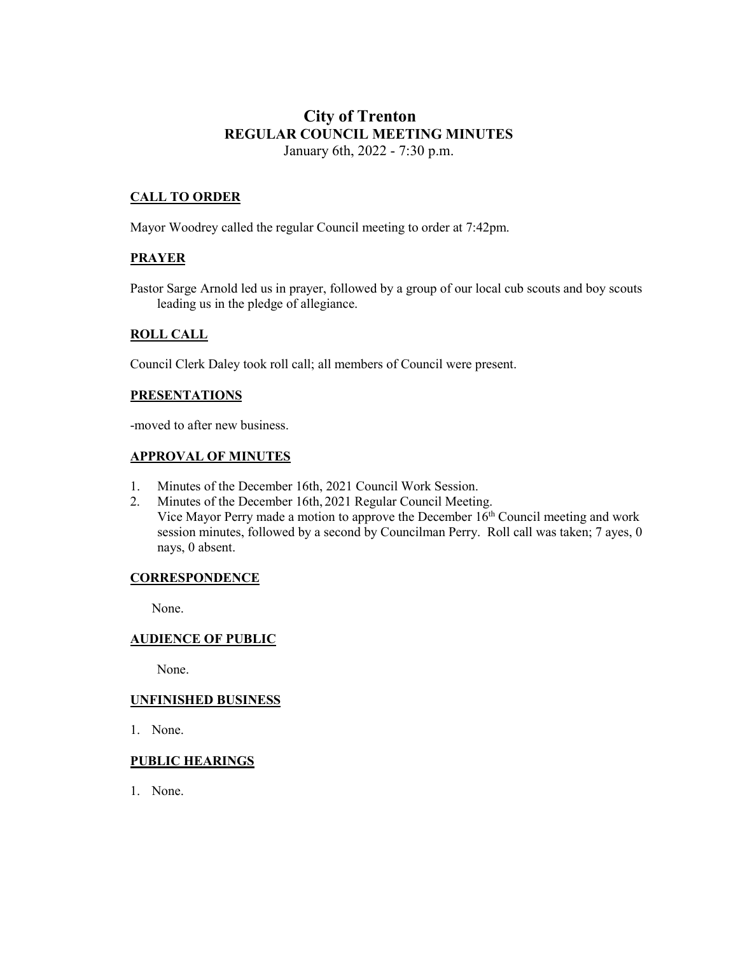# **City of Trenton REGULAR COUNCIL MEETING MINUTES** January 6th, 2022 - 7:30 p.m.

# **CALL TO ORDER**

Mayor Woodrey called the regular Council meeting to order at 7:42pm.

## **PRAYER**

Pastor Sarge Arnold led us in prayer, followed by a group of our local cub scouts and boy scouts leading us in the pledge of allegiance.

#### **ROLL CALL**

Council Clerk Daley took roll call; all members of Council were present.

#### **PRESENTATIONS**

-moved to after new business.

### **APPROVAL OF MINUTES**

- 1. Minutes of the December 16th, 2021 Council Work Session.
- 2. Minutes of the December 16th, 2021 Regular Council Meeting. Vice Mayor Perry made a motion to approve the December  $16<sup>th</sup>$  Council meeting and work session minutes, followed by a second by Councilman Perry. Roll call was taken; 7 ayes, 0 nays, 0 absent.

#### **CORRESPONDENCE**

None.

#### **AUDIENCE OF PUBLIC**

None.

#### **UNFINISHED BUSINESS**

1. None.

#### **PUBLIC HEARINGS**

1. None.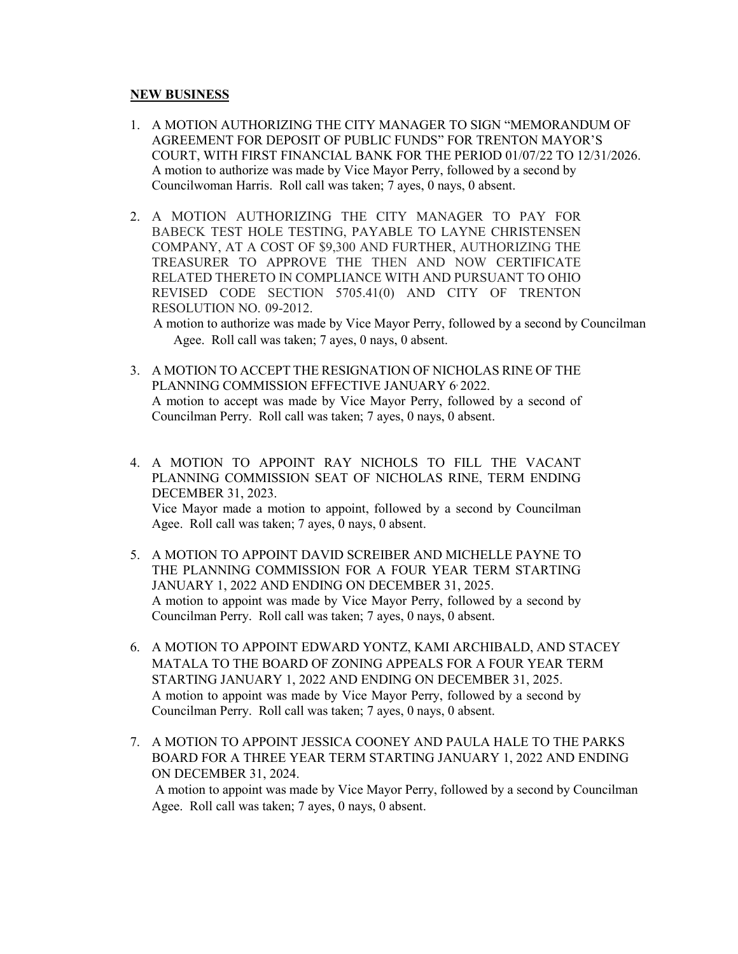### **NEW BUSINESS**

- 1. A MOTION AUTHORIZING THE CITY MANAGER TO SIGN "MEMORANDUM OF AGREEMENT FOR DEPOSIT OF PUBLIC FUNDS" FOR TRENTON MAYOR'S COURT, WITH FIRST FINANCIAL BANK FOR THE PERIOD 01/07/22 TO 12/31/2026. A motion to authorize was made by Vice Mayor Perry, followed by a second by Councilwoman Harris. Roll call was taken; 7 ayes, 0 nays, 0 absent.
- 2. A MOTION AUTHORIZING THE CITY MANAGER TO PAY FOR BABECK TEST HOLE TESTING, PAYABLE TO LAYNE CHRISTENSEN COMPANY, AT A COST OF \$9,300 AND FURTHER, AUTHORIZING THE TREASURER TO APPROVE THE THEN AND NOW CERTIFICATE RELATED THERETO IN COMPLIANCE WITH AND PURSUANT TO OHIO REVISED CODE SECTION 5705.41(0) AND CITY OF TRENTON RESOLUTION NO. 09-2012.

 A motion to authorize was made by Vice Mayor Perry, followed by a second by Councilman Agee. Roll call was taken; 7 ayes, 0 nays, 0 absent.

- 3. A MOTION TO ACCEPT THE RESIGNATION OF NICHOLAS RINE OF THE PLANNING COMMISSION EFFECTIVE JANUARY 6.2022. A motion to accept was made by Vice Mayor Perry, followed by a second of Councilman Perry. Roll call was taken; 7 ayes, 0 nays, 0 absent.
- 4. A MOTION TO APPOINT RAY NICHOLS TO FILL THE VACANT PLANNING COMMISSION SEAT OF NICHOLAS RINE, TERM ENDING DECEMBER 31, 2023. Vice Mayor made a motion to appoint, followed by a second by Councilman Agee. Roll call was taken; 7 ayes, 0 nays, 0 absent.
- 5. A MOTION TO APPOINT DAVID SCREIBER AND MICHELLE PAYNE TO THE PLANNING COMMISSION FOR A FOUR YEAR TERM STARTING JANUARY 1, 2022 AND ENDING ON DECEMBER 31, 2025. A motion to appoint was made by Vice Mayor Perry, followed by a second by Councilman Perry. Roll call was taken; 7 ayes, 0 nays, 0 absent.
- 6. A MOTION TO APPOINT EDWARD YONTZ, KAMI ARCHIBALD, AND STACEY MATALA TO THE BOARD OF ZONING APPEALS FOR A FOUR YEAR TERM STARTING JANUARY 1, 2022 AND ENDING ON DECEMBER 31, 2025. A motion to appoint was made by Vice Mayor Perry, followed by a second by Councilman Perry. Roll call was taken; 7 ayes, 0 nays, 0 absent.
- 7. A MOTION TO APPOINT JESSICA COONEY AND PAULA HALE TO THE PARKS BOARD FOR A THREE YEAR TERM STARTING JANUARY 1, 2022 AND ENDING ON DECEMBER 31, 2024.

A motion to appoint was made by Vice Mayor Perry, followed by a second by Councilman Agee. Roll call was taken; 7 ayes, 0 nays, 0 absent.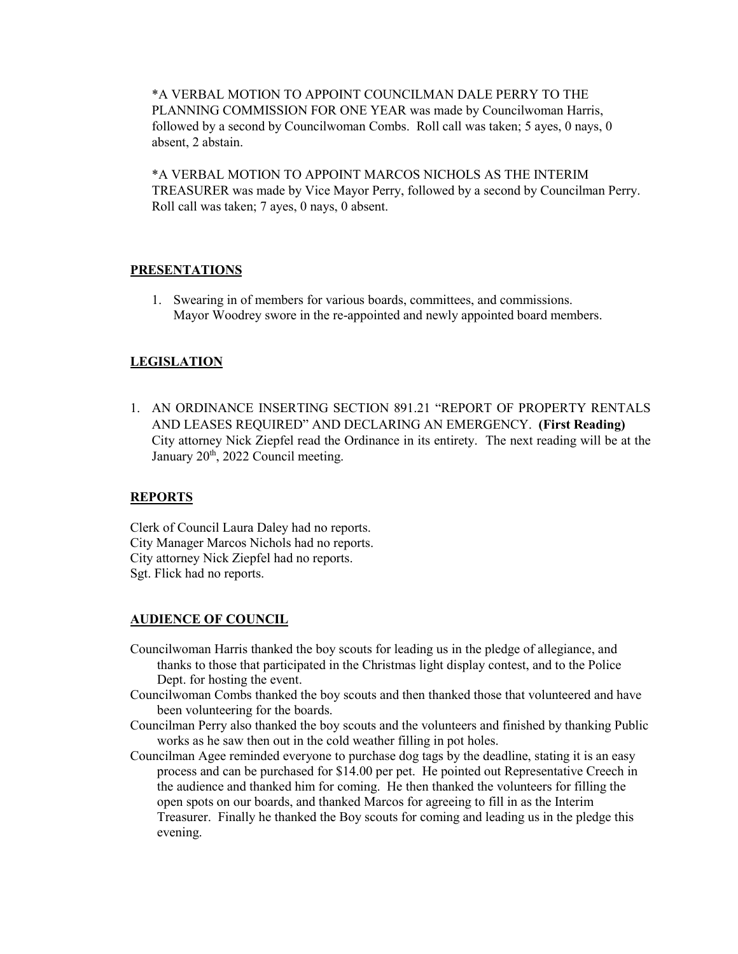\*A VERBAL MOTION TO APPOINT COUNCILMAN DALE PERRY TO THE PLANNING COMMISSION FOR ONE YEAR was made by Councilwoman Harris, followed by a second by Councilwoman Combs. Roll call was taken; 5 ayes, 0 nays, 0 absent, 2 abstain.

\*A VERBAL MOTION TO APPOINT MARCOS NICHOLS AS THE INTERIM TREASURER was made by Vice Mayor Perry, followed by a second by Councilman Perry. Roll call was taken; 7 ayes, 0 nays, 0 absent.

## **PRESENTATIONS**

1. Swearing in of members for various boards, committees, and commissions. Mayor Woodrey swore in the re-appointed and newly appointed board members.

## **LEGISLATION**

1. AN ORDINANCE INSERTING SECTION 891.21 "REPORT OF PROPERTY RENTALS AND LEASES REQUIRED" AND DECLARING AN EMERGENCY. **(First Reading)** City attorney Nick Ziepfel read the Ordinance in its entirety. The next reading will be at the January 20<sup>th</sup>, 2022 Council meeting.

## **REPORTS**

Clerk of Council Laura Daley had no reports. City Manager Marcos Nichols had no reports. City attorney Nick Ziepfel had no reports. Sgt. Flick had no reports.

## **AUDIENCE OF COUNCIL**

- Councilwoman Harris thanked the boy scouts for leading us in the pledge of allegiance, and thanks to those that participated in the Christmas light display contest, and to the Police Dept. for hosting the event.
- Councilwoman Combs thanked the boy scouts and then thanked those that volunteered and have been volunteering for the boards.
- Councilman Perry also thanked the boy scouts and the volunteers and finished by thanking Public works as he saw then out in the cold weather filling in pot holes.
- Councilman Agee reminded everyone to purchase dog tags by the deadline, stating it is an easy process and can be purchased for \$14.00 per pet. He pointed out Representative Creech in the audience and thanked him for coming. He then thanked the volunteers for filling the open spots on our boards, and thanked Marcos for agreeing to fill in as the Interim Treasurer. Finally he thanked the Boy scouts for coming and leading us in the pledge this evening.